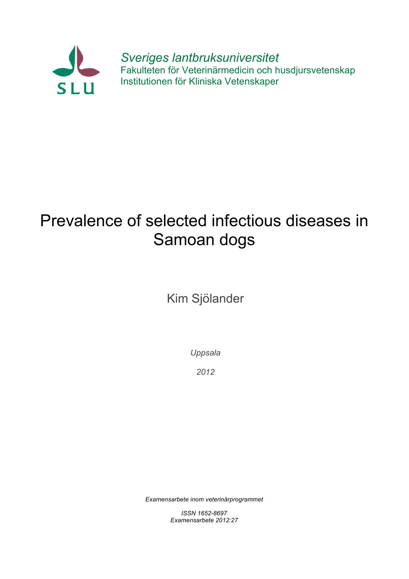

*Sveriges lantbruksuniversitet* Fakulteten för Veterinärmedicin och husdjursvetenskap Institutionen för Kliniska Vetenskaper

# Prevalence of selected infectious diseases in Samoan dogs

Kim Sjölander

*Uppsala*

*2012*

*Examensarbete inom veterinärprogrammet*

*ISSN 1652-8697 Examensarbete 2012:27*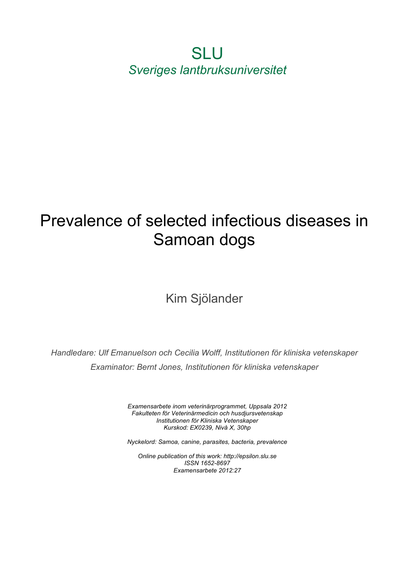SLU *Sveriges lantbruksuniversitet*

# Prevalence of selected infectious diseases in Samoan dogs

# Kim Sjölander

*Handledare: Ulf Emanuelson och Cecilia Wolff, Institutionen för kliniska vetenskaper Examinator: Bernt Jones, Institutionen för kliniska vetenskaper*

> *Examensarbete inom veterinärprogrammet, Uppsala 2012 Fakulteten för Veterinärmedicin och husdjursvetenskap Institutionen för Kliniska Vetenskaper Kurskod: EX0239, Nivå X, 30hp*

> *Nyckelord: Samoa, canine, parasites, bacteria, prevalence*

*Online publication of this work: http://epsilon.slu.se ISSN 1652-8697 Examensarbete 2012:27*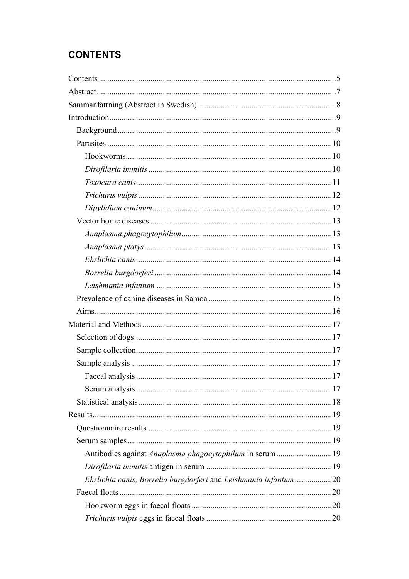# **CONTENTS**

| Antibodies against Anaplasma phagocytophilum in serum19         |  |
|-----------------------------------------------------------------|--|
|                                                                 |  |
| Ehrlichia canis, Borrelia burgdorferi and Leishmania infantum20 |  |
|                                                                 |  |
|                                                                 |  |
|                                                                 |  |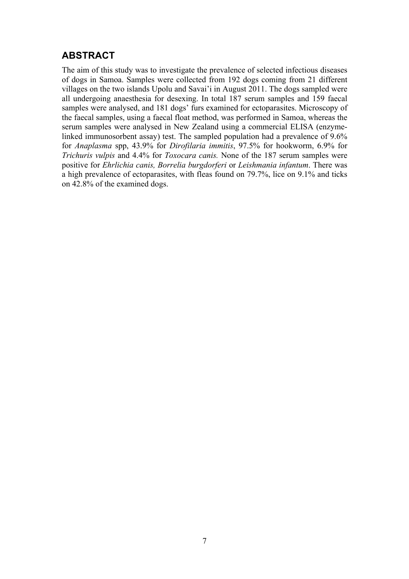# **ABSTRACT**

The aim of this study was to investigate the prevalence of selected infectious diseases of dogs in Samoa. Samples were collected from 192 dogs coming from 21 different villages on the two islands Upolu and Savai'i in August 2011. The dogs sampled were all undergoing anaesthesia for desexing. In total 187 serum samples and 159 faecal samples were analysed, and 181 dogs' furs examined for ectoparasites. Microscopy of the faecal samples, using a faecal float method, was performed in Samoa, whereas the serum samples were analysed in New Zealand using a commercial ELISA (enzymelinked immunosorbent assay) test. The sampled population had a prevalence of 9.6% for *Anaplasma* spp, 43.9% for *Dirofilaria immitis*, 97.5% for hookworm, 6.9% for *Trichuris vulpis* and 4.4% for *Toxocara canis.* None of the 187 serum samples were positive for *Ehrlichia canis, Borrelia burgdorferi* or *Leishmania infantum*. There was a high prevalence of ectoparasites, with fleas found on 79.7%, lice on 9.1% and ticks on 42.8% of the examined dogs.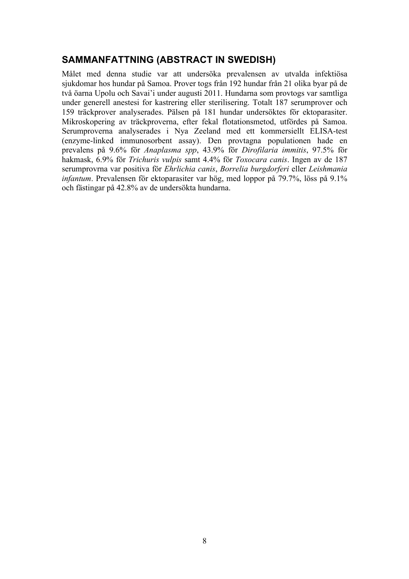# **SAMMANFATTNING (ABSTRACT IN SWEDISH)**

Målet med denna studie var att undersöka prevalensen av utvalda infektiösa sjukdomar hos hundar på Samoa. Prover togs från 192 hundar från 21 olika byar på de två öarna Upolu och Savai'i under augusti 2011. Hundarna som provtogs var samtliga under generell anestesi for kastrering eller sterilisering. Totalt 187 serumprover och 159 träckprover analyserades. Pälsen på 181 hundar undersöktes för ektoparasiter. Mikroskopering av träckproverna, efter fekal flotationsmetod, utfördes på Samoa. Serumproverna analyserades i Nya Zeeland med ett kommersiellt ELISA-test (enzyme-linked immunosorbent assay). Den provtagna populationen hade en prevalens på 9.6% för *Anaplasma spp*, 43.9% för *Dirofilaria immitis*, 97.5% för hakmask, 6.9% för *Trichuris vulpis* samt 4.4% för *Toxocara canis*. Ingen av de 187 serumprovrna var positiva för *Ehrlichia canis*, *Borrelia burgdorferi* eller *Leishmania infantum*. Prevalensen för ektoparasiter var hög, med loppor på 79.7%, löss på 9.1% och fästingar på 42.8% av de undersökta hundarna.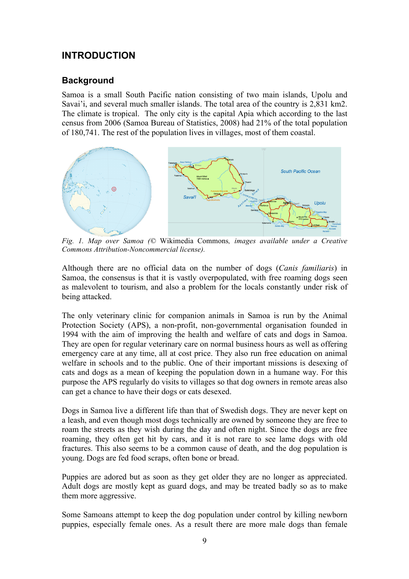# **INTRODUCTION**

#### **Background**

Samoa is a small South Pacific nation consisting of two main islands, Upolu and Savai'i, and several much smaller islands. The total area of the country is 2,831 km2. The climate is tropical. The only city is the capital Apia which according to the last census from 2006 (Samoa Bureau of Statistics, 2008) had 21% of the total population of 180,741. The rest of the population lives in villages, most of them coastal.



 *Fig. 1. Map over Samoa (©* Wikimedia Commons*, images available under a Creative Commons Attribution-Noncommercial license).*

Although there are no official data on the number of dogs (*Canis familiaris*) in Samoa, the consensus is that it is vastly overpopulated, with free roaming dogs seen as malevolent to tourism, and also a problem for the locals constantly under risk of being attacked.

The only veterinary clinic for companion animals in Samoa is run by the Animal Protection Society (APS), a non-profit, non-governmental organisation founded in 1994 with the aim of improving the health and welfare of cats and dogs in Samoa. They are open for regular veterinary care on normal business hours as well as offering emergency care at any time, all at cost price. They also run free education on animal welfare in schools and to the public. One of their important missions is desexing of cats and dogs as a mean of keeping the population down in a humane way. For this purpose the APS regularly do visits to villages so that dog owners in remote areas also can get a chance to have their dogs or cats desexed.

Dogs in Samoa live a different life than that of Swedish dogs. They are never kept on a leash, and even though most dogs technically are owned by someone they are free to roam the streets as they wish during the day and often night. Since the dogs are free roaming, they often get hit by cars, and it is not rare to see lame dogs with old fractures. This also seems to be a common cause of death, and the dog population is young. Dogs are fed food scraps, often bone or bread.

Puppies are adored but as soon as they get older they are no longer as appreciated. Adult dogs are mostly kept as guard dogs, and may be treated badly so as to make them more aggressive.

Some Samoans attempt to keep the dog population under control by killing newborn puppies, especially female ones. As a result there are more male dogs than female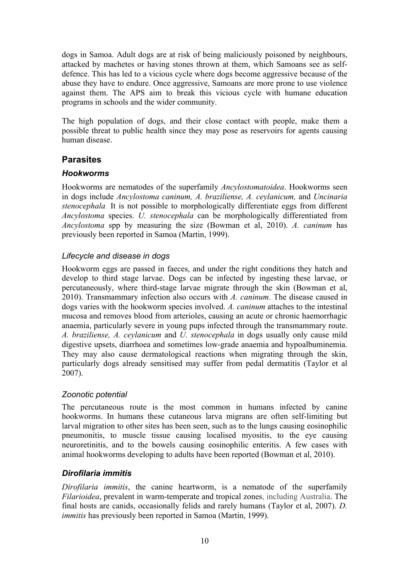dogs in Samoa. Adult dogs are at risk of being maliciously poisoned by neighbours, attacked by machetes or having stones thrown at them, which Samoans see as selfdefence. This has led to a vicious cycle where dogs become aggressive because of the abuse they have to endure. Once aggressive, Samoans are more prone to use violence against them. The APS aim to break this vicious cycle with humane education programs in schools and the wider community.

The high population of dogs, and their close contact with people, make them a possible threat to public health since they may pose as reservoirs for agents causing human disease.

# **Parasites**

#### *Hookworms*

Hookworms are nematodes of the superfamily *Ancylostomatoidea*. Hookworms seen in dogs include *Ancylostoma caninum, A. braziliense, A. ceylanicum,* and *Uncinaria stenocephala.* It is not possible to morphologically differentiate eggs from different *Ancylostoma* species. *U. stenocephala* can be morphologically differentiated from *Ancylostoma* spp by measuring the size (Bowman et al, 2010). *A. caninum* has previously been reported in Samoa (Martin, 1999).

# *Lifecycle and disease in dogs*

Hookworm eggs are passed in faeces, and under the right conditions they hatch and develop to third stage larvae. Dogs can be infected by ingesting these larvae, or percutaneously, where third-stage larvae migrate through the skin (Bowman et al, 2010). Transmammary infection also occurs with *A. caninum*. The disease caused in dogs varies with the hookworm species involved. *A. caninum* attaches to the intestinal mucosa and removes blood from arterioles, causing an acute or chronic haemorrhagic anaemia, particularly severe in young pups infected through the transmammary route. *A. braziliense, A. ceylanicum* and *U. stenocephala* in dogs usually only cause mild digestive upsets, diarrhoea and sometimes low-grade anaemia and hypoalbuminemia. They may also cause dermatological reactions when migrating through the skin, particularly dogs already sensitised may suffer from pedal dermatitis (Taylor et al 2007).

# *Zoonotic potential*

The percutaneous route is the most common in humans infected by canine hookworms. In humans these cutaneous larva migrans are often self-limiting but larval migration to other sites has been seen, such as to the lungs causing eosinophilic pneumonitis, to muscle tissue causing localised myositis, to the eye causing neuroretinitis, and to the bowels causing eosinophilic enteritis. A few cases with animal hookworms developing to adults have been reported (Bowman et al, 2010).

# *Dirofilaria immitis*

*Dirofilaria immitis*, the canine heartworm, is a nematode of the superfamily *Filarioidea*, prevalent in warm-temperate and tropical zones, including Australia. The final hosts are canids, occasionally felids and rarely humans (Taylor et al, 2007). *D. immitis* has previously been reported in Samoa (Martin, 1999).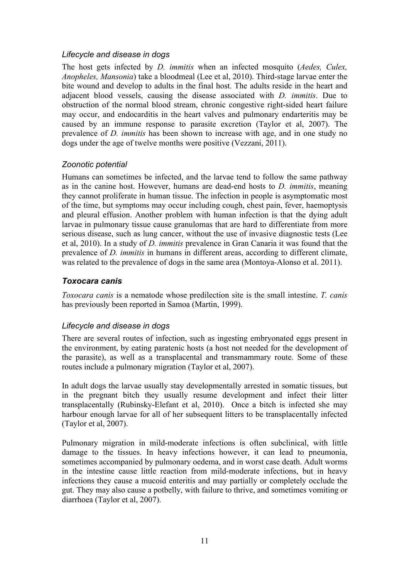#### *Lifecycle and disease in dogs*

The host gets infected by *D. immitis* when an infected mosquito (*Aedes, Culex, Anopheles, Mansonia*) take a bloodmeal (Lee et al, 2010). Third-stage larvae enter the bite wound and develop to adults in the final host. The adults reside in the heart and adjacent blood vessels, causing the disease associated with *D. immitis*. Due to obstruction of the normal blood stream, chronic congestive right-sided heart failure may occur, and endocarditis in the heart valves and pulmonary endarteritis may be caused by an immune response to parasite excretion (Taylor et al, 2007). The prevalence of *D. immitis* has been shown to increase with age, and in one study no dogs under the age of twelve months were positive (Vezzani, 2011).

#### *Zoonotic potential*

Humans can sometimes be infected, and the larvae tend to follow the same pathway as in the canine host. However, humans are dead-end hosts to *D. immitis*, meaning they cannot proliferate in human tissue. The infection in people is asymptomatic most of the time, but symptoms may occur including cough, chest pain, fever, haemoptysis and pleural effusion. Another problem with human infection is that the dying adult larvae in pulmonary tissue cause granulomas that are hard to differentiate from more serious disease, such as lung cancer, without the use of invasive diagnostic tests (Lee et al, 2010). In a study of *D. immitis* prevalence in Gran Canaria it was found that the prevalence of *D. immitis* in humans in different areas, according to different climate, was related to the prevalence of dogs in the same area (Montoya-Alonso et al. 2011).

#### *Toxocara canis*

*Toxocara canis* is a nematode whose predilection site is the small intestine. *T. canis* has previously been reported in Samoa (Martin, 1999).

#### *Lifecycle and disease in dogs*

There are several routes of infection, such as ingesting embryonated eggs present in the environment, by eating paratenic hosts (a host not needed for the development of the parasite), as well as a transplacental and transmammary route. Some of these routes include a pulmonary migration (Taylor et al, 2007).

In adult dogs the larvae usually stay developmentally arrested in somatic tissues, but in the pregnant bitch they usually resume development and infect their litter transplacentally (Rubinsky-Elefant et al, 2010). Once a bitch is infected she may harbour enough larvae for all of her subsequent litters to be transplacentally infected (Taylor et al, 2007).

Pulmonary migration in mild-moderate infections is often subclinical, with little damage to the tissues. In heavy infections however, it can lead to pneumonia, sometimes accompanied by pulmonary oedema, and in worst case death. Adult worms in the intestine cause little reaction from mild-moderate infections, but in heavy infections they cause a mucoid enteritis and may partially or completely occlude the gut. They may also cause a potbelly, with failure to thrive, and sometimes vomiting or diarrhoea (Taylor et al, 2007).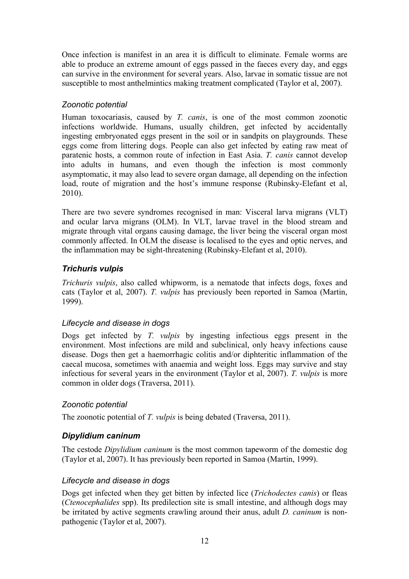Once infection is manifest in an area it is difficult to eliminate. Female worms are able to produce an extreme amount of eggs passed in the faeces every day, and eggs can survive in the environment for several years. Also, larvae in somatic tissue are not susceptible to most anthelmintics making treatment complicated (Taylor et al, 2007).

#### *Zoonotic potential*

Human toxocariasis, caused by *T. canis*, is one of the most common zoonotic infections worldwide. Humans, usually children, get infected by accidentally ingesting embryonated eggs present in the soil or in sandpits on playgrounds. These eggs come from littering dogs. People can also get infected by eating raw meat of paratenic hosts, a common route of infection in East Asia. *T. canis* cannot develop into adults in humans, and even though the infection is most commonly asymptomatic, it may also lead to severe organ damage, all depending on the infection load, route of migration and the host's immune response (Rubinsky-Elefant et al, 2010).

There are two severe syndromes recognised in man: Visceral larva migrans (VLT) and ocular larva migrans (OLM). In VLT, larvae travel in the blood stream and migrate through vital organs causing damage, the liver being the visceral organ most commonly affected. In OLM the disease is localised to the eyes and optic nerves, and the inflammation may be sight-threatening (Rubinsky-Elefant et al, 2010).

# *Trichuris vulpis*

*Trichuris vulpis*, also called whipworm, is a nematode that infects dogs, foxes and cats (Taylor et al, 2007). *T. vulpis* has previously been reported in Samoa (Martin, 1999).

#### *Lifecycle and disease in dogs*

Dogs get infected by *T. vulpis* by ingesting infectious eggs present in the environment. Most infections are mild and subclinical, only heavy infections cause disease. Dogs then get a haemorrhagic colitis and/or diphteritic inflammation of the caecal mucosa, sometimes with anaemia and weight loss. Eggs may survive and stay infectious for several years in the environment (Taylor et al, 2007). *T. vulpis* is more common in older dogs (Traversa, 2011).

#### *Zoonotic potential*

The zoonotic potential of *T. vulpis* is being debated (Traversa, 2011).

# *Dipylidium caninum*

The cestode *Dipylidium caninum* is the most common tapeworm of the domestic dog (Taylor et al, 2007). It has previously been reported in Samoa (Martin, 1999).

#### *Lifecycle and disease in dogs*

Dogs get infected when they get bitten by infected lice (*Trichodectes canis*) or fleas (*Ctenocephalides* spp). Its predilection site is small intestine, and although dogs may be irritated by active segments crawling around their anus, adult *D. caninum* is nonpathogenic (Taylor et al, 2007).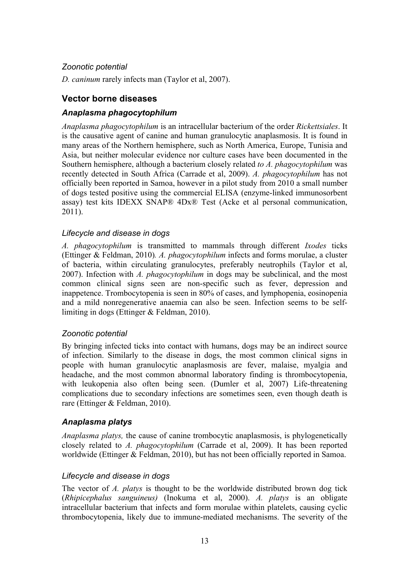#### *Zoonotic potential*

*D. caninum* rarely infects man (Taylor et al, 2007).

# **Vector borne diseases**

# *Anaplasma phagocytophilum*

*Anaplasma phagocytophilum* is an intracellular bacterium of the order *Rickettsiales*. It is the causative agent of canine and human granulocytic anaplasmosis. It is found in many areas of the Northern hemisphere, such as North America, Europe, Tunisia and Asia, but neither molecular evidence nor culture cases have been documented in the Southern hemisphere, although a bacterium closely related *to A. phagocytophilum* was recently detected in South Africa (Carrade et al, 2009). *A. phagocytophilum* has not officially been reported in Samoa, however in a pilot study from 2010 a small number of dogs tested positive using the commercial ELISA (enzyme-linked immunosorbent assay) test kits IDEXX SNAP® 4Dx® Test (Acke et al personal communication, 2011).

#### *Lifecycle and disease in dogs*

*A. phagocytophilum* is transmitted to mammals through different *Ixodes* ticks (Ettinger & Feldman, 2010)*. A. phagocytophilum* infects and forms morulae, a cluster of bacteria, within circulating granulocytes, preferably neutrophils (Taylor et al, 2007). Infection with *A. phagocytophilum* in dogs may be subclinical, and the most common clinical signs seen are non-specific such as fever, depression and inappetence. Trombocytopenia is seen in 80% of cases, and lymphopenia, eosinopenia and a mild nonregenerative anaemia can also be seen. Infection seems to be selflimiting in dogs (Ettinger & Feldman, 2010).

# *Zoonotic potential*

By bringing infected ticks into contact with humans, dogs may be an indirect source of infection. Similarly to the disease in dogs, the most common clinical signs in people with human granulocytic anaplasmosis are fever, malaise, myalgia and headache, and the most common abnormal laboratory finding is thrombocytopenia, with leukopenia also often being seen. (Dumler et al, 2007) Life-threatening complications due to secondary infections are sometimes seen, even though death is rare (Ettinger & Feldman, 2010).

# *Anaplasma platys*

*Anaplasma platys,* the cause of canine trombocytic anaplasmosis, is phylogenetically closely related to *A. phagocytophilum* (Carrade et al, 2009). It has been reported worldwide (Ettinger & Feldman, 2010), but has not been officially reported in Samoa.

# *Lifecycle and disease in dogs*

The vector of *A. platys* is thought to be the worldwide distributed brown dog tick (*Rhipicephalus sanguineus)* (Inokuma et al, 2000). *A. platys* is an obligate intracellular bacterium that infects and form morulae within platelets, causing cyclic thrombocytopenia, likely due to immune-mediated mechanisms. The severity of the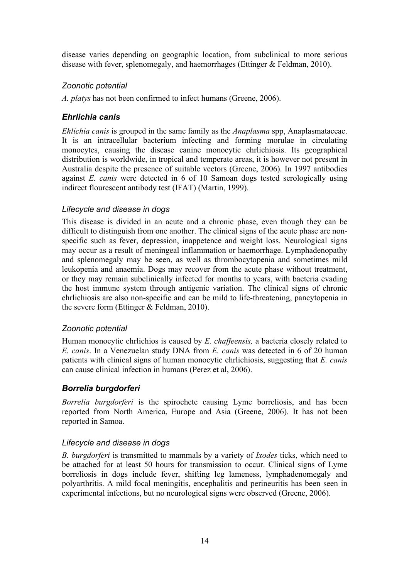disease varies depending on geographic location, from subclinical to more serious disease with fever, splenomegaly, and haemorrhages (Ettinger & Feldman, 2010).

#### *Zoonotic potential*

*A. platys* has not been confirmed to infect humans (Greene, 2006).

# *Ehrlichia canis*

*Ehlichia canis* is grouped in the same family as the *Anaplasma* spp, Anaplasmataceae. It is an intracellular bacterium infecting and forming morulae in circulating monocytes, causing the disease canine monocytic ehrlichiosis. Its geographical distribution is worldwide, in tropical and temperate areas, it is however not present in Australia despite the presence of suitable vectors (Greene, 2006). In 1997 antibodies against *E. canis* were detected in 6 of 10 Samoan dogs tested serologically using indirect flourescent antibody test (IFAT) (Martin, 1999).

#### *Lifecycle and disease in dogs*

This disease is divided in an acute and a chronic phase, even though they can be difficult to distinguish from one another. The clinical signs of the acute phase are nonspecific such as fever, depression, inappetence and weight loss. Neurological signs may occur as a result of meningeal inflammation or haemorrhage. Lymphadenopathy and splenomegaly may be seen, as well as thrombocytopenia and sometimes mild leukopenia and anaemia. Dogs may recover from the acute phase without treatment, or they may remain subclinically infected for months to years, with bacteria evading the host immune system through antigenic variation. The clinical signs of chronic ehrlichiosis are also non-specific and can be mild to life-threatening, pancytopenia in the severe form (Ettinger & Feldman, 2010).

# *Zoonotic potential*

Human monocytic ehrlichios is caused by *E. chaffeensis,* a bacteria closely related to *E. canis*. In a Venezuelan study DNA from *E. canis* was detected in 6 of 20 human patients with clinical signs of human monocytic ehrlichiosis, suggesting that *E. canis* can cause clinical infection in humans (Perez et al, 2006).

# *Borrelia burgdorferi*

*Borrelia burgdorferi* is the spirochete causing Lyme borreliosis, and has been reported from North America, Europe and Asia (Greene, 2006). It has not been reported in Samoa.

# *Lifecycle and disease in dogs*

*B. burgdorferi* is transmitted to mammals by a variety of *Ixodes* ticks, which need to be attached for at least 50 hours for transmission to occur. Clinical signs of Lyme borreliosis in dogs include fever, shifting leg lameness, lymphadenomegaly and polyarthritis. A mild focal meningitis, encephalitis and perineuritis has been seen in experimental infections, but no neurological signs were observed (Greene, 2006).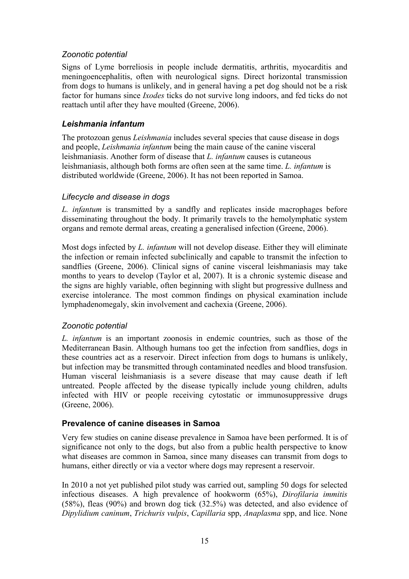#### *Zoonotic potential*

Signs of Lyme borreliosis in people include dermatitis, arthritis, myocarditis and meningoencephalitis, often with neurological signs. Direct horizontal transmission from dogs to humans is unlikely, and in general having a pet dog should not be a risk factor for humans since *Ixodes* ticks do not survive long indoors, and fed ticks do not reattach until after they have moulted (Greene, 2006).

#### *Leishmania infantum*

The protozoan genus *Leishmania* includes several species that cause disease in dogs and people, *Leishmania infantum* being the main cause of the canine visceral leishmaniasis. Another form of disease that *L. infantum* causes is cutaneous leishmaniasis, although both forms are often seen at the same time. *L. infantum* is distributed worldwide (Greene, 2006). It has not been reported in Samoa.

#### *Lifecycle and disease in dogs*

*L. infantum* is transmitted by a sandfly and replicates inside macrophages before disseminating throughout the body. It primarily travels to the hemolymphatic system organs and remote dermal areas, creating a generalised infection (Greene, 2006).

Most dogs infected by *L. infantum* will not develop disease. Either they will eliminate the infection or remain infected subclinically and capable to transmit the infection to sandflies (Greene, 2006). Clinical signs of canine visceral leishmaniasis may take months to years to develop (Taylor et al, 2007). It is a chronic systemic disease and the signs are highly variable, often beginning with slight but progressive dullness and exercise intolerance. The most common findings on physical examination include lymphadenomegaly, skin involvement and cachexia (Greene, 2006).

# *Zoonotic potential*

*L. infantum* is an important zoonosis in endemic countries, such as those of the Mediterranean Basin. Although humans too get the infection from sandflies, dogs in these countries act as a reservoir. Direct infection from dogs to humans is unlikely, but infection may be transmitted through contaminated needles and blood transfusion. Human visceral leishmaniasis is a severe disease that may cause death if left untreated. People affected by the disease typically include young children, adults infected with HIV or people receiving cytostatic or immunosuppressive drugs (Greene, 2006).

# **Prevalence of canine diseases in Samoa**

Very few studies on canine disease prevalence in Samoa have been performed. It is of significance not only to the dogs, but also from a public health perspective to know what diseases are common in Samoa, since many diseases can transmit from dogs to humans, either directly or via a vector where dogs may represent a reservoir.

In 2010 a not yet published pilot study was carried out, sampling 50 dogs for selected infectious diseases. A high prevalence of hookworm (65%), *Dirofilaria immitis* (58%), fleas (90%) and brown dog tick (32.5%) was detected, and also evidence of *Dipylidium caninum*, *Trichuris vulpis*, *Capillaria* spp, *Anaplasma* spp, and lice. None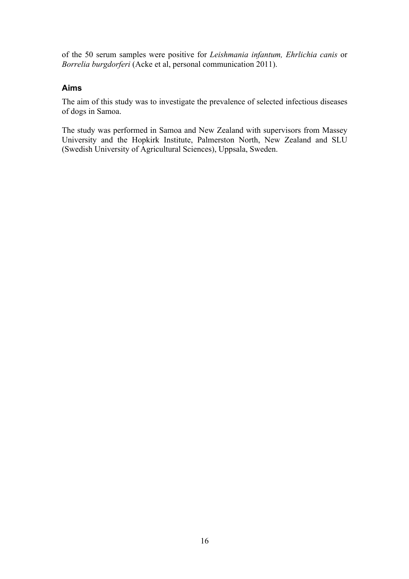of the 50 serum samples were positive for *Leishmania infantum, Ehrlichia canis* or *Borrelia burgdorferi* (Acke et al, personal communication 2011).

#### **Aims**

The aim of this study was to investigate the prevalence of selected infectious diseases of dogs in Samoa.

The study was performed in Samoa and New Zealand with supervisors from Massey University and the Hopkirk Institute, Palmerston North, New Zealand and SLU (Swedish University of Agricultural Sciences), Uppsala, Sweden.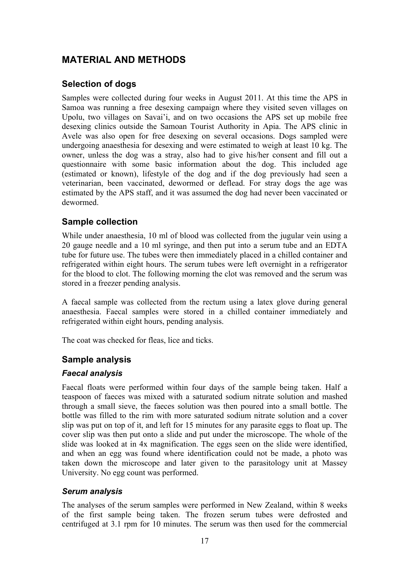# **MATERIAL AND METHODS**

# **Selection of dogs**

Samples were collected during four weeks in August 2011. At this time the APS in Samoa was running a free desexing campaign where they visited seven villages on Upolu, two villages on Savai'i, and on two occasions the APS set up mobile free desexing clinics outside the Samoan Tourist Authority in Apia. The APS clinic in Avele was also open for free desexing on several occasions. Dogs sampled were undergoing anaesthesia for desexing and were estimated to weigh at least 10 kg. The owner, unless the dog was a stray, also had to give his/her consent and fill out a questionnaire with some basic information about the dog. This included age (estimated or known), lifestyle of the dog and if the dog previously had seen a veterinarian, been vaccinated, dewormed or deflead. For stray dogs the age was estimated by the APS staff, and it was assumed the dog had never been vaccinated or dewormed.

# **Sample collection**

While under anaesthesia, 10 ml of blood was collected from the jugular vein using a 20 gauge needle and a 10 ml syringe, and then put into a serum tube and an EDTA tube for future use. The tubes were then immediately placed in a chilled container and refrigerated within eight hours. The serum tubes were left overnight in a refrigerator for the blood to clot. The following morning the clot was removed and the serum was stored in a freezer pending analysis.

A faecal sample was collected from the rectum using a latex glove during general anaesthesia. Faecal samples were stored in a chilled container immediately and refrigerated within eight hours, pending analysis.

The coat was checked for fleas, lice and ticks.

# **Sample analysis**

#### *Faecal analysis*

Faecal floats were performed within four days of the sample being taken. Half a teaspoon of faeces was mixed with a saturated sodium nitrate solution and mashed through a small sieve, the faeces solution was then poured into a small bottle. The bottle was filled to the rim with more saturated sodium nitrate solution and a cover slip was put on top of it, and left for 15 minutes for any parasite eggs to float up. The cover slip was then put onto a slide and put under the microscope. The whole of the slide was looked at in 4x magnification. The eggs seen on the slide were identified, and when an egg was found where identification could not be made, a photo was taken down the microscope and later given to the parasitology unit at Massey University. No egg count was performed.

#### *Serum analysis*

The analyses of the serum samples were performed in New Zealand, within 8 weeks of the first sample being taken. The frozen serum tubes were defrosted and centrifuged at 3.1 rpm for 10 minutes. The serum was then used for the commercial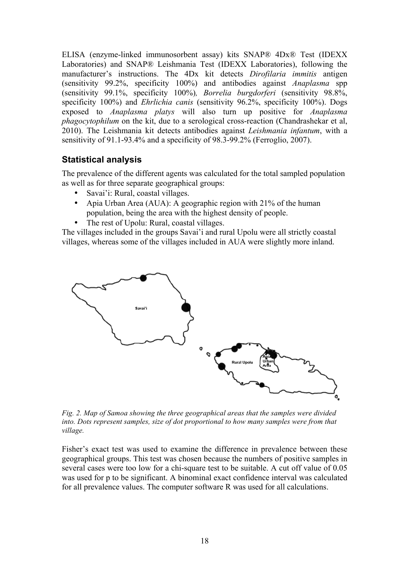ELISA (enzyme-linked immunosorbent assay) kits SNAP® 4Dx® Test (IDEXX Laboratories) and SNAP® Leishmania Test (IDEXX Laboratories), following the manufacturer's instructions. The 4Dx kit detects *Dirofilaria immitis* antigen (sensitivity 99.2%, specificity 100%) and antibodies against *Anaplasma* spp (sensitivity 99.1%, specificity 100%)*, Borrelia burgdorferi* (sensitivity 98.8%, specificity 100%) and *Ehrlichia canis* (sensitivity 96.2%, specificity 100%). Dogs exposed to *Anaplasma platys* will also turn up positive for *Anaplasma phagocytophilum* on the kit, due to a serological cross-reaction (Chandrashekar et al, 2010). The Leishmania kit detects antibodies against *Leishmania infantum*, with a sensitivity of 91.1-93.4% and a specificity of 98.3-99.2% (Ferroglio, 2007).

# **Statistical analysis**

The prevalence of the different agents was calculated for the total sampled population as well as for three separate geographical groups:

- Savai'i: Rural, coastal villages.
- Apia Urban Area (AUA): A geographic region with 21% of the human population, being the area with the highest density of people.
- The rest of Upolu: Rural, coastal villages.

The villages included in the groups Savai'i and rural Upolu were all strictly coastal villages, whereas some of the villages included in AUA were slightly more inland.



*Fig. 2. Map of Samoa showing the three geographical areas that the samples were divided into. Dots represent samples, size of dot proportional to how many samples were from that village.*

Fisher's exact test was used to examine the difference in prevalence between these geographical groups. This test was chosen because the numbers of positive samples in several cases were too low for a chi-square test to be suitable. A cut off value of 0.05 was used for p to be significant. A binominal exact confidence interval was calculated for all prevalence values. The computer software R was used for all calculations.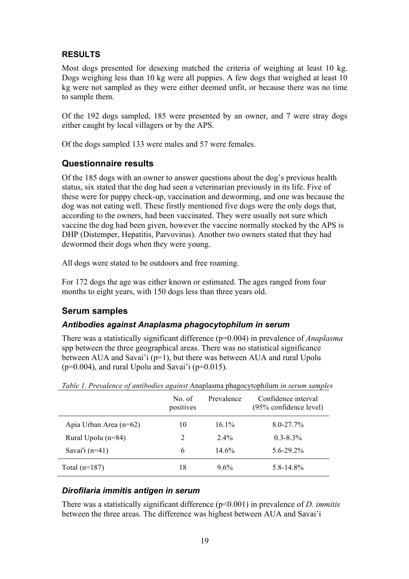# **RESULTS**

Most dogs presented for desexing matched the criteria of weighing at least 10 kg. Dogs weighing less than 10 kg were all puppies. A few dogs that weighed at least 10 kg were not sampled as they were either deemed unfit, or because there was no time to sample them.

Of the 192 dogs sampled, 185 were presented by an owner, and 7 were stray dogs either caught by local villagers or by the APS.

Of the dogs sampled 133 were males and 57 were females.

# **Questionnaire results**

Of the 185 dogs with an owner to answer questions about the dog's previous health status, six stated that the dog had seen a veterinarian previously in its life. Five of these were for puppy check-up, vaccination and deworming, and one was because the dog was not eating well. These firstly mentioned five dogs were the only dogs that, according to the owners, had been vaccinated. They were usually not sure which vaccine the dog had been given, however the vaccine normally stocked by the APS is DHP (Distemper, Hepatitis, Parvovirus). Another two owners stated that they had dewormed their dogs when they were young.

All dogs were stated to be outdoors and free roaming.

For 172 dogs the age was either known or estimated. The ages ranged from four months to eight years, with 150 dogs less than three years old.

# **Serum samples**

# *Antibodies against Anaplasma phagocytophilum in serum*

There was a statistically significant difference (p=0.004) in prevalence of *Anaplasma* spp between the three geographical areas. There was no statistical significance between AUA and Savai'i (p=1), but there was between AUA and rural Upolu  $(p=0.004)$ , and rural Upolu and Savai'i ( $p=0.015$ ).

|                        | No. of<br>positives | Prevalence | Confidence interval<br>(95% confidence level) |
|------------------------|---------------------|------------|-----------------------------------------------|
| Apia Urban Area (n=62) | 10                  | $16.1\%$   | $8.0 - 27.7\%$                                |
| Rural Upolu $(n=84)$   | 2                   | $2.4\%$    | $0.3 - 8.3\%$                                 |
| Savai'i $(n=41)$       | 6                   | $14.6\%$   | $5.6 - 29.2\%$                                |
| Total $(n=187)$        | 18                  | $9.6\%$    | $5.8 - 14.8\%$                                |

*Table 1. Prevalence of antibodies against* Anaplasma phagocytophilum *in serum samples*

# *Dirofilaria immitis antigen in serum*

There was a statistically significant difference (p<0.001) in prevalence of *D. immitis* between the three areas. The difference was highest between AUA and Savai'i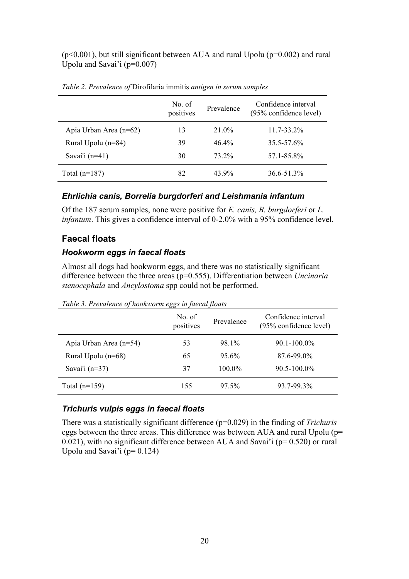$(p<0.001)$ , but still significant between AUA and rural Upolu  $(p=0.002)$  and rural Upolu and Savai'i (p=0.007)

|                        | No. of<br>positives | Prevalence | Confidence interval<br>(95% confidence level) |
|------------------------|---------------------|------------|-----------------------------------------------|
| Apia Urban Area (n=62) | 13                  | 21.0%      | $11.7 - 33.2\%$                               |
| Rural Upolu $(n=84)$   | 39                  | $46.4\%$   | $35.5 - 57.6\%$                               |
| Savai'i $(n=41)$       | 30                  | 73 2%      | 57.1-85.8%                                    |
| Total $(n=187)$        | 82                  | 43.9%      | 36.6-51.3%                                    |

*Table 2. Prevalence of* Dirofilaria immitis *antigen in serum samples*

#### *Ehrlichia canis, Borrelia burgdorferi and Leishmania infantum*

Of the 187 serum samples, none were positive for *E. canis, B. burgdorferi* or *L. infantum*. This gives a confidence interval of 0-2.0% with a 95% confidence level.

#### **Faecal floats**

#### *Hookworm eggs in faecal floats*

Almost all dogs had hookworm eggs, and there was no statistically significant difference between the three areas (p=0.555). Differentiation between *Uncinaria stenocephala* and *Ancylostoma* spp could not be performed.

|                        | No. of<br>positives | Prevalence | Confidence interval<br>(95% confidence level) |
|------------------------|---------------------|------------|-----------------------------------------------|
| Apia Urban Area (n=54) | 53                  | 98.1%      | $90.1 - 100.0\%$                              |
| Rural Upolu (n=68)     | 65                  | 95.6%      | 87.6-99.0%                                    |
| Savai'i $(n=37)$       | 37                  | 100.0%     | $90.5 - 100.0\%$                              |
| Total $(n=159)$        | 155                 | 97.5%      | 93.7-99.3%                                    |

*Table 3. Prevalence of hookworm eggs in faecal floats*

# *Trichuris vulpis eggs in faecal floats*

There was a statistically significant difference (p=0.029) in the finding of *Trichuris* eggs between the three areas. This difference was between AUA and rural Upolu (p= 0.021), with no significant difference between AUA and Savai'i ( $p= 0.520$ ) or rural Upolu and Savai'i ( $p= 0.124$ )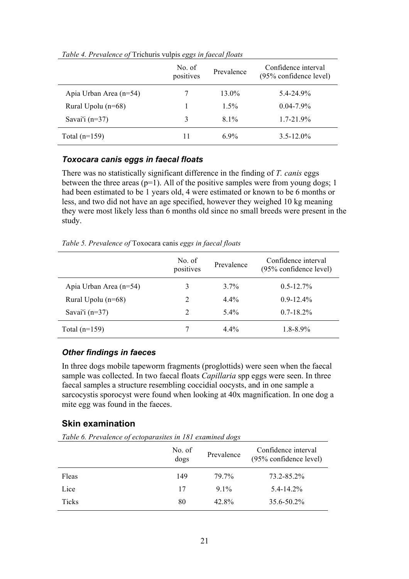| $\cdot$                | ပပ                  |            |                                                  |
|------------------------|---------------------|------------|--------------------------------------------------|
|                        | No. of<br>positives | Prevalence | Confidence interval<br>$(95\%$ confidence level) |
| Apia Urban Area (n=54) | 7                   | 13.0%      | $5.4 - 24.9\%$                                   |
| Rural Upolu $(n=68)$   |                     | $1.5\%$    | $0.04 - 7.9\%$                                   |
| Savai'i $(n=37)$       | 3                   | $81\%$     | $1.7 - 21.9\%$                                   |
| Total $(n=159)$        | 11                  | 69%        | $3.5 - 12.0\%$                                   |

*Table 4. Prevalence of* Trichuris vulpis *eggs in faecal floats*

#### *Toxocara canis eggs in faecal floats*

There was no statistically significant difference in the finding of *T. canis* eggs between the three areas  $(p=1)$ . All of the positive samples were from young dogs; 1 had been estimated to be 1 years old, 4 were estimated or known to be 6 months or less, and two did not have an age specified, however they weighed 10 kg meaning they were most likely less than 6 months old since no small breeds were present in the study.

*Table 5. Prevalence of* Toxocara canis *eggs in faecal floats*

|                        | No. of<br>positives | Prevalence | Confidence interval<br>(95% confidence level) |
|------------------------|---------------------|------------|-----------------------------------------------|
| Apia Urban Area (n=54) | 3                   | $3.7\%$    | $0.5 - 12.7%$                                 |
| Rural Upolu $(n=68)$   | 2                   | $4.4\%$    | $0.9 - 12.4\%$                                |
| Savai'i $(n=37)$       | 2                   | $5.4\%$    | $0.7 - 18.2\%$                                |
| Total $(n=159)$        |                     | $4.4\%$    | $1.8 - 8.9\%$                                 |

#### *Other findings in faeces*

In three dogs mobile tapeworm fragments (proglottids) were seen when the faecal sample was collected. In two faecal floats *Capillaria* spp eggs were seen. In three faecal samples a structure resembling coccidial oocysts, and in one sample a sarcocystis sporocyst were found when looking at 40x magnification. In one dog a mite egg was found in the faeces.

#### **Skin examination**

*Table 6. Prevalence of ectoparasites in 181 examined dogs*

|              | No. of<br>dogs | Prevalence | Confidence interval<br>(95% confidence level) |
|--------------|----------------|------------|-----------------------------------------------|
| Fleas        | 149            | 79.7%      | 73.2-85.2%                                    |
| Lice         | 17             | $91\%$     | $5.4 - 14.2\%$                                |
| <b>Ticks</b> | 80             | 42.8%      | $35.6 - 50.2\%$                               |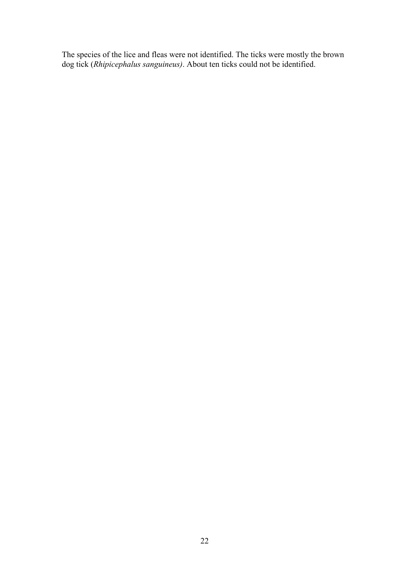The species of the lice and fleas were not identified. The ticks were mostly the brown dog tick (*Rhipicephalus sanguineus)*. About ten ticks could not be identified.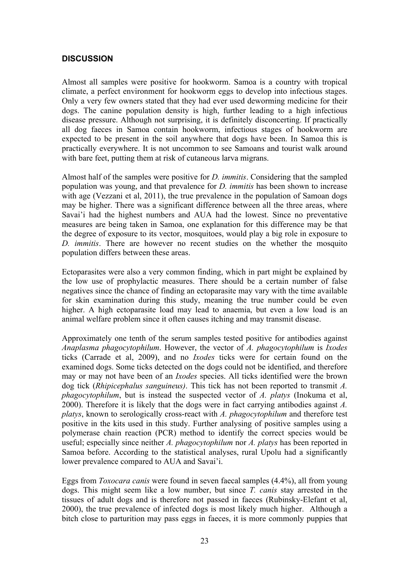#### **DISCUSSION**

Almost all samples were positive for hookworm. Samoa is a country with tropical climate, a perfect environment for hookworm eggs to develop into infectious stages. Only a very few owners stated that they had ever used deworming medicine for their dogs. The canine population density is high, further leading to a high infectious disease pressure. Although not surprising, it is definitely disconcerting. If practically all dog faeces in Samoa contain hookworm, infectious stages of hookworm are expected to be present in the soil anywhere that dogs have been. In Samoa this is practically everywhere. It is not uncommon to see Samoans and tourist walk around with bare feet, putting them at risk of cutaneous larva migrans.

Almost half of the samples were positive for *D. immitis*. Considering that the sampled population was young, and that prevalence for *D. immitis* has been shown to increase with age (Vezzani et al, 2011), the true prevalence in the population of Samoan dogs may be higher. There was a significant difference between all the three areas, where Savai'i had the highest numbers and AUA had the lowest. Since no preventative measures are being taken in Samoa, one explanation for this difference may be that the degree of exposure to its vector, mosquitoes, would play a big role in exposure to *D. immitis*. There are however no recent studies on the whether the mosquito population differs between these areas.

Ectoparasites were also a very common finding, which in part might be explained by the low use of prophylactic measures. There should be a certain number of false negatives since the chance of finding an ectoparasite may vary with the time available for skin examination during this study, meaning the true number could be even higher. A high ectoparasite load may lead to anaemia, but even a low load is an animal welfare problem since it often causes itching and may transmit disease.

Approximately one tenth of the serum samples tested positive for antibodies against *Anaplasma phagocytophilum*. However, the vector of *A. phagocytophilum* is *Ixodes* ticks (Carrade et al, 2009), and no *Ixodes* ticks were for certain found on the examined dogs. Some ticks detected on the dogs could not be identified, and therefore may or may not have been of an *Ixodes* species. All ticks identified were the brown dog tick (*Rhipicephalus sanguineus)*. This tick has not been reported to transmit *A. phagocytophilum*, but is instead the suspected vector of *A. platys* (Inokuma et al, 2000). Therefore it is likely that the dogs were in fact carrying antibodies against *A. platys*, known to serologically cross-react with *A. phagocytophilum* and therefore test positive in the kits used in this study. Further analysing of positive samples using a polymerase chain reaction (PCR) method to identify the correct species would be useful; especially since neither *A. phagocytophilum* nor *A. platys* has been reported in Samoa before. According to the statistical analyses, rural Upolu had a significantly lower prevalence compared to AUA and Savai'i.

Eggs from *Toxocara canis* were found in seven faecal samples (4.4%), all from young dogs. This might seem like a low number, but since *T. canis* stay arrested in the tissues of adult dogs and is therefore not passed in faeces (Rubinsky-Elefant et al, 2000), the true prevalence of infected dogs is most likely much higher. Although a bitch close to parturition may pass eggs in faeces, it is more commonly puppies that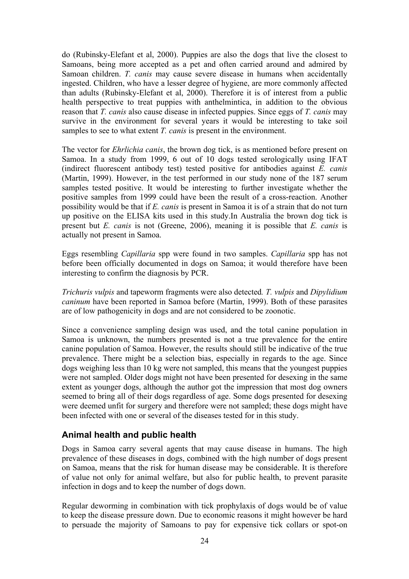do (Rubinsky-Elefant et al, 2000). Puppies are also the dogs that live the closest to Samoans, being more accepted as a pet and often carried around and admired by Samoan children. *T. canis* may cause severe disease in humans when accidentally ingested. Children, who have a lesser degree of hygiene, are more commonly affected than adults (Rubinsky-Elefant et al, 2000). Therefore it is of interest from a public health perspective to treat puppies with anthelmintica, in addition to the obvious reason that *T. canis* also cause disease in infected puppies. Since eggs of *T. canis* may survive in the environment for several years it would be interesting to take soil samples to see to what extent *T. canis* is present in the environment.

The vector for *Ehrlichia canis*, the brown dog tick, is as mentioned before present on Samoa. In a study from 1999, 6 out of 10 dogs tested serologically using IFAT (indirect fluorescent antibody test) tested positive for antibodies against *E. canis* (Martin, 1999). However, in the test performed in our study none of the 187 serum samples tested positive. It would be interesting to further investigate whether the positive samples from 1999 could have been the result of a cross-reaction. Another possibility would be that if *E. canis* is present in Samoa it is of a strain that do not turn up positive on the ELISA kits used in this study.In Australia the brown dog tick is present but *E. canis* is not (Greene, 2006), meaning it is possible that *E. canis* is actually not present in Samoa.

Eggs resembling *Capillaria* spp were found in two samples. *Capillaria* spp has not before been officially documented in dogs on Samoa; it would therefore have been interesting to confirm the diagnosis by PCR.

*Trichuris vulpis* and tapeworm fragments were also detected*. T. vulpis* and *Dipylidium caninum* have been reported in Samoa before (Martin, 1999). Both of these parasites are of low pathogenicity in dogs and are not considered to be zoonotic.

Since a convenience sampling design was used, and the total canine population in Samoa is unknown, the numbers presented is not a true prevalence for the entire canine population of Samoa. However, the results should still be indicative of the true prevalence. There might be a selection bias, especially in regards to the age. Since dogs weighing less than 10 kg were not sampled, this means that the youngest puppies were not sampled. Older dogs might not have been presented for desexing in the same extent as younger dogs, although the author got the impression that most dog owners seemed to bring all of their dogs regardless of age. Some dogs presented for desexing were deemed unfit for surgery and therefore were not sampled; these dogs might have been infected with one or several of the diseases tested for in this study.

# **Animal health and public health**

Dogs in Samoa carry several agents that may cause disease in humans. The high prevalence of these diseases in dogs, combined with the high number of dogs present on Samoa, means that the risk for human disease may be considerable. It is therefore of value not only for animal welfare, but also for public health, to prevent parasite infection in dogs and to keep the number of dogs down.

Regular deworming in combination with tick prophylaxis of dogs would be of value to keep the disease pressure down. Due to economic reasons it might however be hard to persuade the majority of Samoans to pay for expensive tick collars or spot-on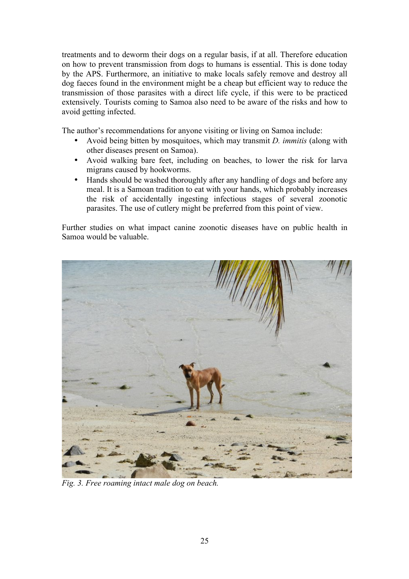treatments and to deworm their dogs on a regular basis, if at all. Therefore education on how to prevent transmission from dogs to humans is essential. This is done today by the APS. Furthermore, an initiative to make locals safely remove and destroy all dog faeces found in the environment might be a cheap but efficient way to reduce the transmission of those parasites with a direct life cycle, if this were to be practiced extensively. Tourists coming to Samoa also need to be aware of the risks and how to avoid getting infected.

The author's recommendations for anyone visiting or living on Samoa include:

- Avoid being bitten by mosquitoes, which may transmit *D. immitis* (along with other diseases present on Samoa).
- Avoid walking bare feet, including on beaches, to lower the risk for larva migrans caused by hookworms.
- Hands should be washed thoroughly after any handling of dogs and before any meal. It is a Samoan tradition to eat with your hands, which probably increases the risk of accidentally ingesting infectious stages of several zoonotic parasites. The use of cutlery might be preferred from this point of view.

Further studies on what impact canine zoonotic diseases have on public health in Samoa would be valuable.



*Fig. 3. Free roaming intact male dog on beach.*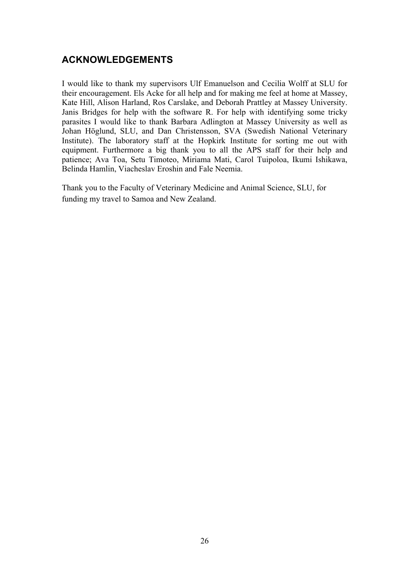# **ACKNOWLEDGEMENTS**

I would like to thank my supervisors Ulf Emanuelson and Cecilia Wolff at SLU for their encouragement. Els Acke for all help and for making me feel at home at Massey, Kate Hill, Alison Harland, Ros Carslake, and Deborah Prattley at Massey University. Janis Bridges for help with the software R. For help with identifying some tricky parasites I would like to thank Barbara Adlington at Massey University as well as Johan Höglund, SLU, and Dan Christensson, SVA (Swedish National Veterinary Institute). The laboratory staff at the Hopkirk Institute for sorting me out with equipment. Furthermore a big thank you to all the APS staff for their help and patience; Ava Toa, Setu Timoteo, Miriama Mati, Carol Tuipoloa, Ikumi Ishikawa, Belinda Hamlin, Viacheslav Eroshin and Fale Neemia.

Thank you to the Faculty of Veterinary Medicine and Animal Science, SLU, for funding my travel to Samoa and New Zealand.